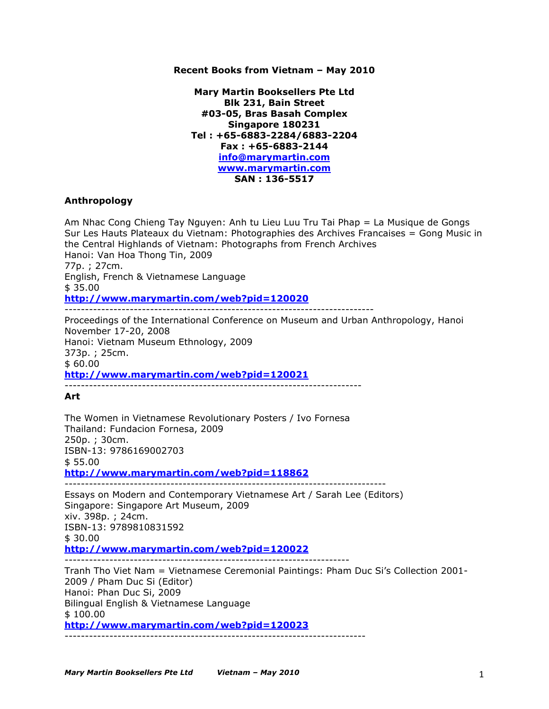## **Recent Books from Vietnam – May 2010**

**Mary Martin Booksellers Pte Ltd Blk 231, Bain Street #03-05, Bras Basah Complex Singapore 180231 Tel : +65-6883-2284/6883-2204 Fax : +65-6883-2144 info@marymartin.com www.marymartin.com SAN : 136-5517**

## **Anthropology**

Am Nhac Cong Chieng Tay Nguyen: Anh tu Lieu Luu Tru Tai Phap = La Musique de Gongs Sur Les Hauts Plateaux du Vietnam: Photographies des Archives Francaises = Gong Music in the Central Highlands of Vietnam: Photographs from French Archives Hanoi: Van Hoa Thong Tin, 2009 77p. ; 27cm. English, French & Vietnamese Language \$ 35.00 **http://www.marymartin.com/web?pid=120020** ---------------------------------------------------------------------------- Proceedings of the International Conference on Museum and Urban Anthropology, Hanoi November 17-20, 2008 Hanoi: Vietnam Museum Ethnology, 2009 373p. ; 25cm. \$ 60.00 **http://www.marymartin.com/web?pid=120021** ------------------------------------------------------------------------- **Art** The Women in Vietnamese Revolutionary Posters / Ivo Fornesa Thailand: Fundacion Fornesa, 2009 250p. ; 30cm. ISBN-13: 9786169002703 \$ 55.00 **http://www.marymartin.com/web?pid=118862** ------------------------------------------------------------------------------- Essays on Modern and Contemporary Vietnamese Art / Sarah Lee (Editors) Singapore: Singapore Art Museum, 2009 xiv. 398p. ; 24cm. ISBN-13: 9789810831592 \$ 30.00 **http://www.marymartin.com/web?pid=120022** ---------------------------------------------------------------------- Tranh Tho Viet Nam = Vietnamese Ceremonial Paintings: Pham Duc Si's Collection 2001-

2009 / Pham Duc Si (Editor) Hanoi: Phan Duc Si, 2009 Bilingual English & Vietnamese Language \$ 100.00 **http://www.marymartin.com/web?pid=120023** --------------------------------------------------------------------------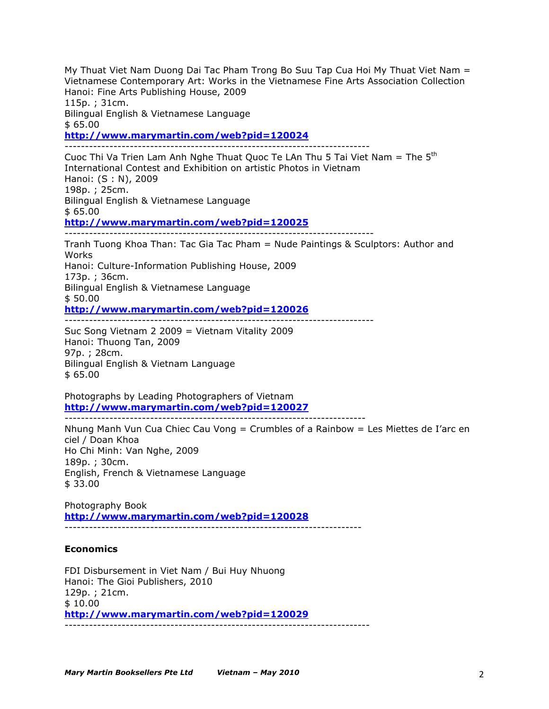My Thuat Viet Nam Duong Dai Tac Pham Trong Bo Suu Tap Cua Hoi My Thuat Viet Nam = Vietnamese Contemporary Art: Works in the Vietnamese Fine Arts Association Collection Hanoi: Fine Arts Publishing House, 2009 115p. ; 31cm. Bilingual English & Vietnamese Language \$ 65.00

**http://www.marymartin.com/web?pid=120024**

--------------------------------------------------------------------------- Cuoc Thi Va Trien Lam Anh Nghe Thuat Quoc Te LAn Thu 5 Tai Viet Nam = The  $5<sup>th</sup>$ International Contest and Exhibition on artistic Photos in Vietnam Hanoi: (S : N), 2009 198p. ; 25cm. Bilingual English & Vietnamese Language \$ 65.00 **http://www.marymartin.com/web?pid=120025** ---------------------------------------------------------------------------- Tranh Tuong Khoa Than: Tac Gia Tac Pham = Nude Paintings & Sculptors: Author and Works Hanoi: Culture-Information Publishing House, 2009 173p. ; 36cm. Bilingual English & Vietnamese Language \$ 50.00 **http://www.marymartin.com/web?pid=120026** ----------------------------------------------------------------------------

Suc Song Vietnam 2 2009 = Vietnam Vitality 2009 Hanoi: Thuong Tan, 2009 97p. ; 28cm. Bilingual English & Vietnam Language \$ 65.00

Photographs by Leading Photographers of Vietnam **http://www.marymartin.com/web?pid=120027** --------------------------------------------------------------------------

Nhung Manh Vun Cua Chiec Cau Vong = Crumbles of a Rainbow = Les Miettes de I'arc en ciel / Doan Khoa Ho Chi Minh: Van Nghe, 2009 189p. ; 30cm. English, French & Vietnamese Language \$ 33.00

Photography Book **http://www.marymartin.com/web?pid=120028**

-------------------------------------------------------------------------

# **Economics**

FDI Disbursement in Viet Nam / Bui Huy Nhuong Hanoi: The Gioi Publishers, 2010 129p. ; 21cm. \$ 10.00 **http://www.marymartin.com/web?pid=120029** ---------------------------------------------------------------------------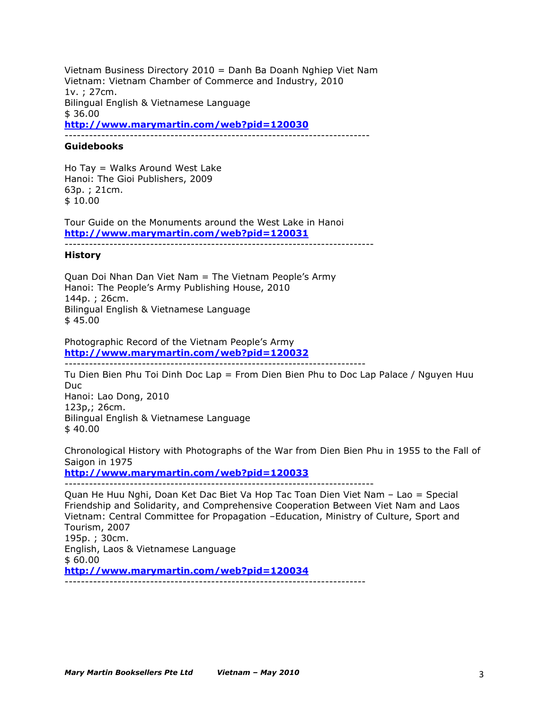Vietnam Business Directory 2010 = Danh Ba Doanh Nghiep Viet Nam Vietnam: Vietnam Chamber of Commerce and Industry, 2010 1v. ; 27cm. Bilingual English & Vietnamese Language \$ 36.00 **http://www.marymartin.com/web?pid=120030** ---------------------------------------------------------------------------

#### **Guidebooks**

Ho Tay = Walks Around West Lake Hanoi: The Gioi Publishers, 2009 63p. ; 21cm. \$ 10.00

Tour Guide on the Monuments around the West Lake in Hanoi **http://www.marymartin.com/web?pid=120031**

----------------------------------------------------------------------------

#### **History**

Quan Doi Nhan Dan Viet Nam = The Vietnam People's Army Hanoi: The People's Army Publishing House, 2010 144p. ; 26cm. Bilingual English & Vietnamese Language \$ 45.00

Photographic Record of the Vietnam People's Army **http://www.marymartin.com/web?pid=120032** --------------------------------------------------------------------------

Tu Dien Bien Phu Toi Dinh Doc Lap = From Dien Bien Phu to Doc Lap Palace / Nguyen Huu Duc Hanoi: Lao Dong, 2010 123p,; 26cm. Bilingual English & Vietnamese Language \$ 40.00

Chronological History with Photographs of the War from Dien Bien Phu in 1955 to the Fall of Saigon in 1975

**http://www.marymartin.com/web?pid=120033**

----------------------------------------------------------------------------

Quan He Huu Nghi, Doan Ket Dac Biet Va Hop Tac Toan Dien Viet Nam – Lao = Special Friendship and Solidarity, and Comprehensive Cooperation Between Viet Nam and Laos Vietnam: Central Committee for Propagation –Education, Ministry of Culture, Sport and Tourism, 2007 195p. ; 30cm. English, Laos & Vietnamese Language \$ 60.00 **http://www.marymartin.com/web?pid=120034** --------------------------------------------------------------------------